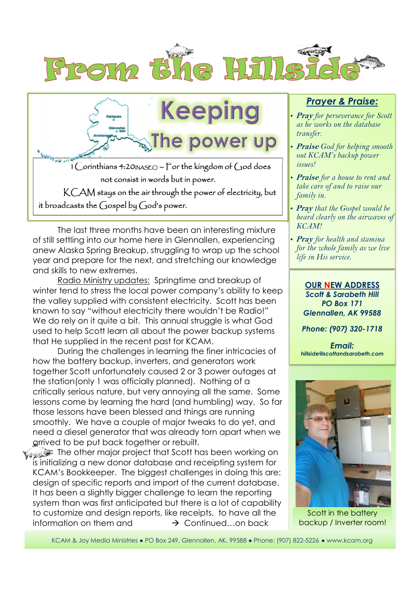



 The last three months have been an interesting mixture of still settling into our home here in Glennallen, experiencing anew Alaska Spring Breakup, struggling to wrap up the school year and prepare for the next, and stretching our knowledge and skills to new extremes.

 Radio Ministry updates: Springtime and breakup of winter tend to stress the local power company's ability to keep the valley supplied with consistent electricity. Scott has been known to say "without electricity there wouldn't be Radio!" We do rely on it quite a bit. This annual struggle is what God used to help Scott learn all about the power backup systems that He supplied in the recent past for KCAM.

During the challenges in learning the finer intricacies of how the battery backup, inverters, and generators work together Scott unfortunately caused 2 or 3 power outages at the station(only 1 was officially planned). Nothing of a critically serious nature, but very annoying all the same. Some lessons come by learning the hard (and humbling) way. So far those lessons have been blessed and things are running smoothly. We have a couple of major tweaks to do yet, and need a diesel generator that was already torn apart when we arrived to be put back together or rebuilt.

The other major project that Scott has been working on is initializing a new donor database and receipting system for KCAM's Bookkeeper. The biggest challenges in doing this are: design of specific reports and import of the current database. It has been a slightly bigger challenge to learn the reporting system than was first anticipated but there is a lot of capability to customize and design reports, like receipts, to have all the information on them and  $\rightarrow$  Continued on back

## *Prayer & Praise:*

- **Pray** *for perseverance for Scott as he works on the database transfer.*
- **Praise** *God for helping smooth out KCAM's backup power issues!*
- **Praise** *for a house to rent and take care of and to raise our family in.*
- *•* **Pray** *that the Gospel would be heard clearly on the airwaves of KCAM!*
- **Pray** *for health and stamina for the whole family as we live life in His service.*

**OUR NEW ADDRESS**  *Scott & Sarabeth Hill PO Box 171 Glennallen, AK 99588* 

*Phone: (907) 320-1718* 

*Email: hillside@scottandsarabeth.com* 



Scott in the battery backup / Inverter room!

KCAM & Joy Media Ministries ● PO Box 249, Glennallen, AK, 99588 ● Phone: (907) 822-5226 ● www.kcam.org